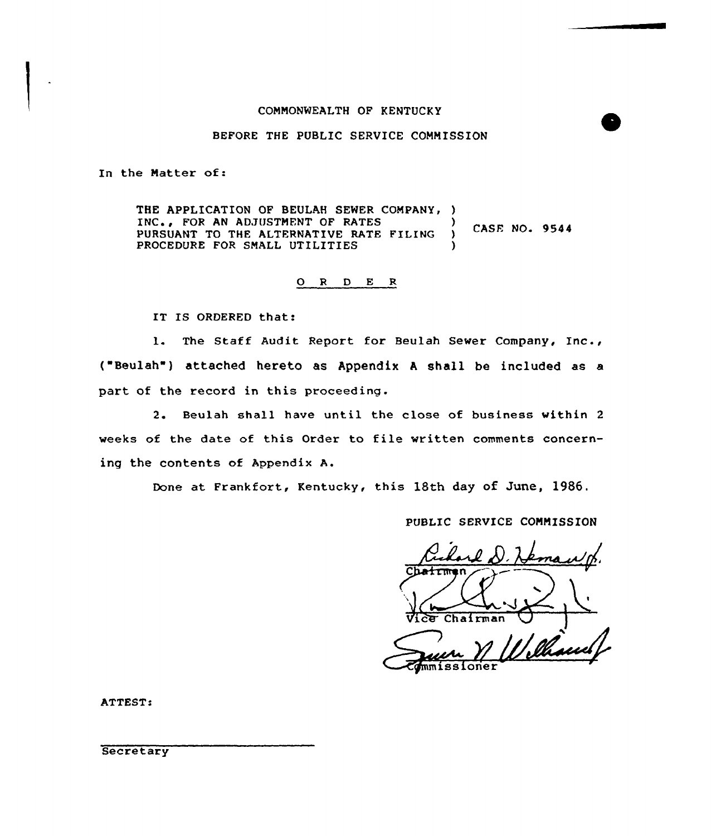#### COMMONWEALTH OF KENTUCKY

## BEFORE THE PUBLIC SERVICE COMMISSION

In the Matter of:

THE APPLICATION OF BEULAH SEWER COMPANY, ) INC., FOR AN ADJUSTMENT OF RATES CASE NO. 9544 PURSUANT TO THE ALTERNATIVE RATE FILING PROCEDURE FOR SMALL UTILITIES

## 0 <sup>R</sup> <sup>D</sup> E <sup>R</sup>

IT IS ORDERED that:

l. The Staff Audit Report for Beulah Sewer Company, Inc., ("Beulah") attached hereto as Appendix A shall be included as a part of the record in this proceeding.

2. Beulah shall have until the close of business within <sup>2</sup> weeks of the date of this Order to file written comments concerning the contents of Appendix A.

Done at Frankfort, Kentucky, this 18th day of June, 1986.

PUBLIC SERVICE COMMISSION

Charles demans

ATTEST:

**Secretary**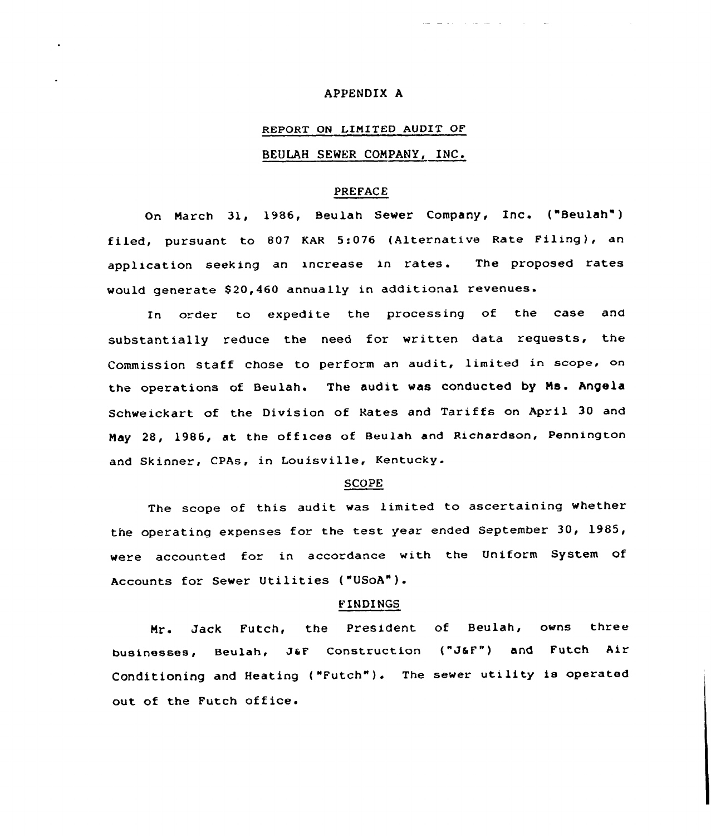## APPENDIX A

# REPORT ON LIMITED AUDIT OF

## BEULAH SEWER CONPANY, INC.

### PREFACE

On Narch 31, 1986, Beulah Sewer Company, Inc. ("Beulah" ) filed, pursuant to 807 KAR 5:076 (Alternative Rate Filing), an application seeking an increase in rates. The proposed rates would generate 820,460 annually in additional revenues.

In order to expedite the processing of the case and substantially reduce the need for written data requests, the Commission staff chose to perform an audit, limited in scope, on the operations of Beulah. The audit vas conducted by Ns. Angela Schweickart of the Division of Rates and Tariffs on April 30 and Nay 28, 1986, at the offices of Beulah and Richardson, Pennington and Skinner, CPAs, in Louisville, Kentucky.

#### SCOPE

The scope of this audit was limited to ascertaining whether the operating expenses for the test year ended September 30, 1985, were accounted for in accordance with the Uniform System of Accounts for Sewer Utilities ("USOA").

#### FINDINGS

Mr. Jack Futch, the President of Beulah, owns three businesses, Beulah, JaF Construction {"JSF") and Futch Air Conditioning and Heating ("Futch"). The sewer utility is operated out of the Futch office.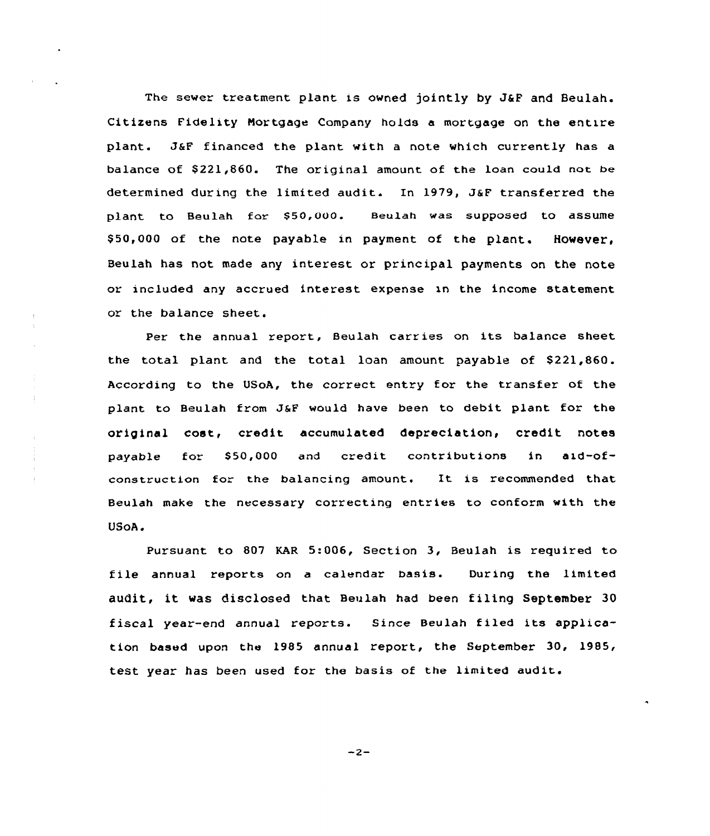The sewer treatment plant is owned jointly by J&F and Beulah. Citizens Fidelity Nortgage Company holds a mortgage on the entire plant. 36F financed the plant with a note which currently has a balance of \$221,860. The original amount of the loan could not be determined during the limited audit. In 1979, JsF transferred the plant to Beulah for \$50,000. Beulah was supposed to assume \$50,000 of the note payable in payment of the plant. However, Beulah has not made any interest or principal payments on the note or included any accrued interest expense xn the income statement or the balance sheet.

Per the annual report, Beulah carries on its balance sheet the total plant and the total loan amount payable of \$221,860. According to the USoA, the correct entry for the transfer of the plant to Beulah from JSF would have been to debit plant for the original cost, credit accumulated depreciation, credit notes payable for \$50,000 and credit contributions in aid-ofconstruction for the balancing amount. Xt is recommended that Beulah make the necessary correcting entries to conform with the VSoA.

 $\frac{1}{4}$ 

Pursuant to 807 KAR 5:006, Section 3, Beulah is required to file annual reports on a calendar basis. During the limited audit, it was disclosed that Beulah had been filing September 30 fiscal year-end annual reports. Since Beulah filed its application based upon the 1985 annual report, the September 30, 1985, test year has been used for the basis of the limited audit.

 $-2-$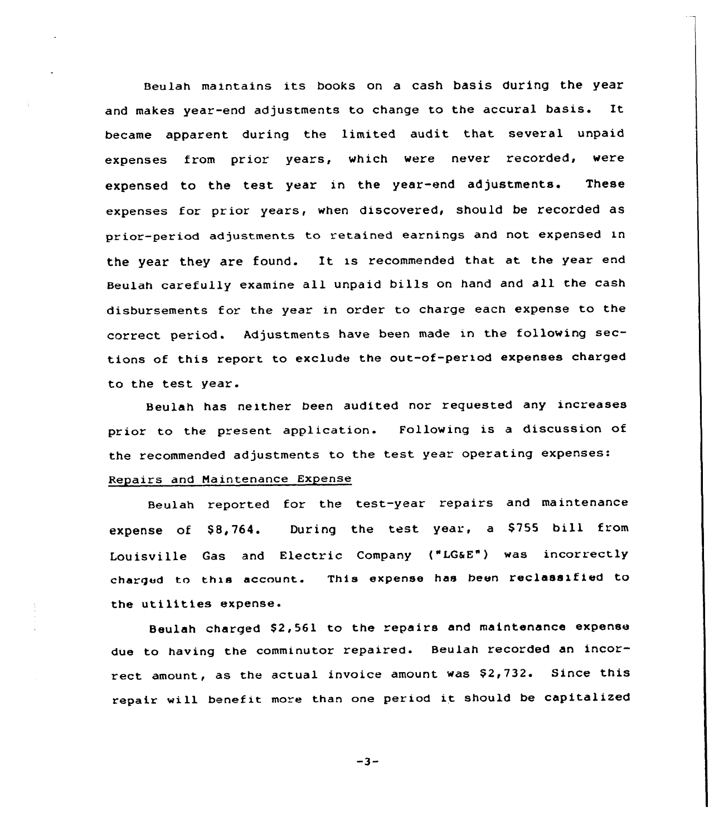Beulah maintains its books on a cash basis during the year and makes year-end adjustments to change to the accural basis. It became apparent during the limited audit that several unpaid expenses from prior years, which were never recorded, were expensed to the test year in the year-end adjustments. These expenses for prior years, when discovered, should be recorded as prior-period adjustments to retained earnings and not expensed in the year they are found. It is recommended that at the year end Beulah carefully examine all unpaid bills on hand and all the cash disbursements for the year in order to charge each expense to the correct period. Adjustments have been made in the following sections of this report to exclude the out-of-period expenses charged to the test year.

Beulah has neither been audited nor requested any increases prior to the present application. Following is <sup>a</sup> discussion of the recommended adjustments to the test year operating expenses: Repairs and Maintenance Expense

Beulah reported for the test-year repairs and maintenance expense of \$8,764. During the test year, a \$755 bill from Louisville Gas and Electric Company {"IG&E") was incorrectly charged to this account. This expense has been reclassified to the utilities expense.

Beulah charged \$2,561 to the repairs and maintenance expense due to having the comminutor repaired. Beulah recorded an incorrect amount, as the actual invoice amount was \$2,732. Since this repair will benefit more than one period it should be capitalized

 $-3-$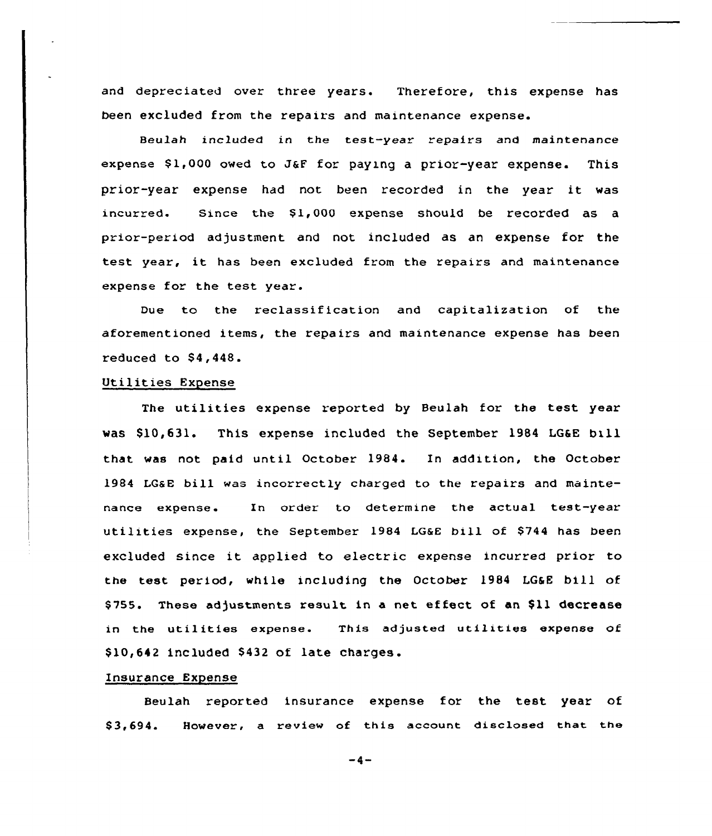and depreciated over three years. Therefore, this expense has been excluded from the repairs and maintenance expense.

Beulah included in the test-year repairs and maintenance expense  $$1,000$  owed to J&F for paying a prior-year expense. This prior-year expense had not been recorded in the year it was incurred. Since the \$1,000 expense should be recorded as a prior-period adjustment and not included as an expense for the test year, it has been excluded from the repairs and maintenance expense for the test year.

Due to the reclassification and capitalization of the aforementioned items, the repairs and maintenance expense has been reduced to  $$4,448$ .

## Utilities Expense

The utilities expense reported by Beulah for the test year was \$10,631. This expense included the September 1984 LG&E bill that was not paid until October 1984. In addition, the October 1984 LGaE bill was incorrectly charged to the repairs and maintenance expense. In order to determine the actual test-year utilities expense, the September 1984 LG&E bill of \$744 has been excluded since it applied to electric expense incurred prior to the test period, while including the October 1984 LG&E bill of \$755. These adjustments result in a net effect of an \$11 decrease in the utilities expense. This adjusted utilities expense of \$10,642 included \$432 of late charges.

#### Insurance Expense

Beulah reported insurance expense for the test year of \$ 3,694. However, a review of this account disclosed that the

 $-4-$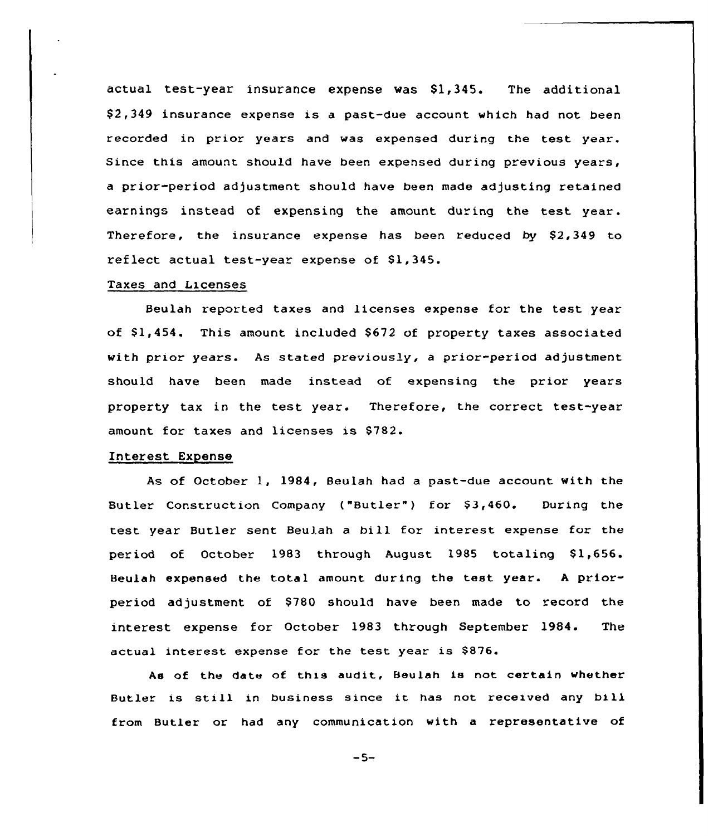actual test-year insurance expense was  $$1,345$ . The additional  $$2,349$  insurance expense is a past-due account which had not been recorded in prior years and was expensed during the test year. Since this amount should have been expensed during previous years, a prior-period adjustment should have been made adjusting retained earnings instead of expensing the amount during the test year. Therefore, the insurance expense has been reduced by \$2,349 to reflect actual test-year expense of  $$1,345.$ 

#### Taxes and Licenses

Beulah reported taxes and licenses expense for the test year of \$1,454. This amount included \$672 of property taxes associated with prior years. As stated previously, a prior-period adjustment should have been made instead of expensing the prior years property tax in the test year. Therefore, the correct test-year amount. for taxes and licenses is 5782.

## Interest Expense

As of October 1, 1984, Beulah had a past-due account with the Butler Construction Company ("Butler") for \$3,460. During the test year Butler sent Beulah a bill for interest expense for the period of October 1983 through August 1985 totaling \$1,656. Beulah expensed the total amount during the test year. <sup>A</sup> priorperiod adjustment of \$780 should have been made to record the interest expense for October 1983 through September 1984. The actual interest expense for the test year is \$876.

As of the date of this audit, Beulah is not certain whether Butler is still in business since it has not received any bill from Butler or had any communication with a representative of

 $-5-$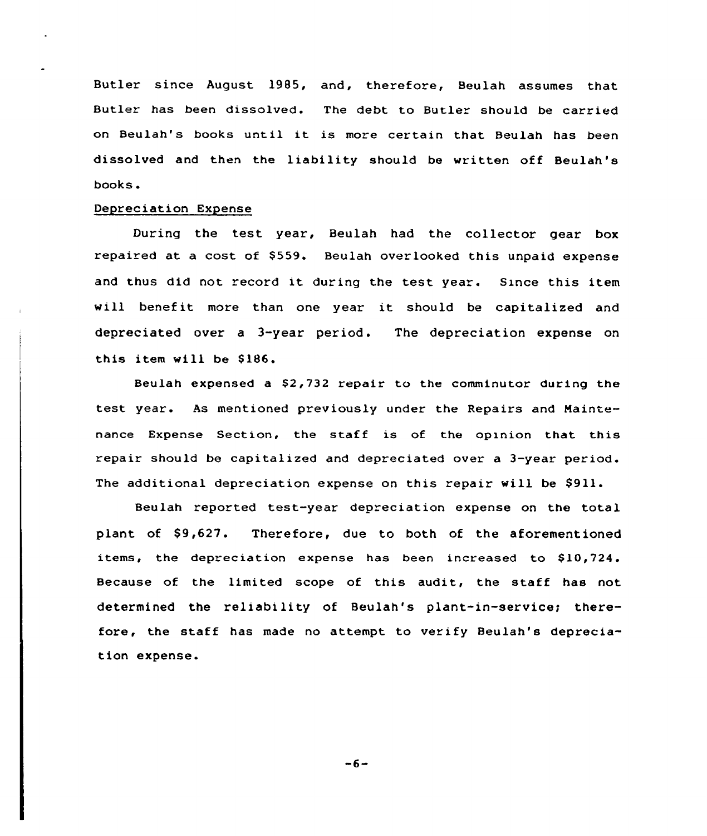Butler since August 1985, and, therefore, Beulah assumes that Butler has been dissolved. The debt to Butler should be carried on Beulah's books until it is more certain that Beulah has been dissolved and then the liability should be written off Beulah's books.

## Depreciation Expense

During the test year, Beulah had the collector gear box repaired at a cost of \$559. Beulah overlooked this unpaid expense and thus did not record it during the test year. Since this item will benefit more than one year it should be capitalized and depreciated over a 3-year period. The depreciation expense on this item will be \$186.

Beulah expensed a \$2,732 repair to the comminutor during the test year. As mentioned previously under the Repairs and Naintenance Expense Section, the staff is of the opinion that this repair should be capitalized and depreciated over a 3-year period. The additional depreciation expense on this repair will be \$911.

Beulah reported test-year depreciation expense on the total plant of \$9,627. Therefore, due to both of the aforementioned items, the depreciation expense has been increased to \$10,724. Because of the limited scope of this audit, the staff has not determined the reliability of Beulah's plant-in-service; therefore, the staff has made no attempt to verify Beulah's depreciation expense.

 $-6-$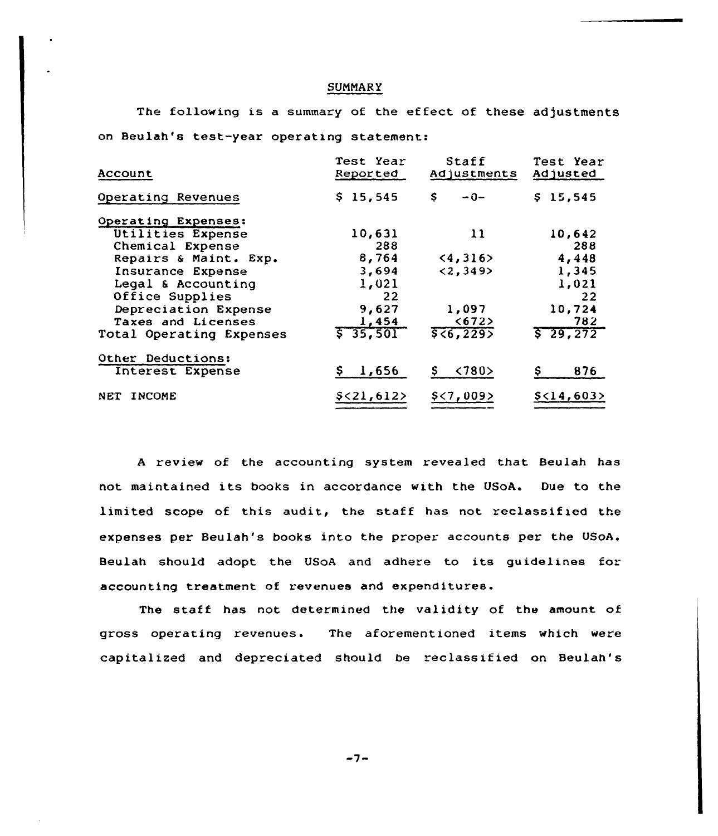#### **SUMMARY**

The following is a summary of the effect of these adjustments on Beulah's test-year operating statement:

| Account                                                                                                                                                                                           | Test Year<br>Reported                                                          | Staff<br>Adjustments                                | Test Year<br>Adjusted                                                          |
|---------------------------------------------------------------------------------------------------------------------------------------------------------------------------------------------------|--------------------------------------------------------------------------------|-----------------------------------------------------|--------------------------------------------------------------------------------|
| Operating Revenues                                                                                                                                                                                | \$15,545                                                                       | s<br>$-0-$                                          | \$15,545                                                                       |
| Operating Expenses:<br>Utilities Expense<br>Chemical Expense<br>Repairs & Maint. Exp.<br>Insurance Expense<br>Legal & Accounting<br>Office Supplies<br>Depreciation Expense<br>Taxes and Licenses | 10,631<br>288<br>8,764<br>3,694<br>1,021<br>22<br>9,627<br>1,454<br>5, 35, 501 | 11<br>(4, 316)<br><2,349<br>1,097<br><672<br>56,229 | 10,642<br>288<br>4,448<br>1,345<br>1,021<br>22<br>10,724<br>782<br>$5\ 29.272$ |
| Total Operating Expenses<br>Other Deductions:<br>Interest Expense                                                                                                                                 | \$1,656                                                                        | $\langle 780 \rangle$<br>S.                         | 876<br>Ş.                                                                      |
| <b>INCOME</b><br>NET                                                                                                                                                                              | \$<21,612>                                                                     | $$<$ 7,009>                                         | \$<14,603>                                                                     |

<sup>A</sup> review of the accounting system revealed that Beulah has not maintained its books in accordance with the USoA. Due to the limited scope of this audit, the staff has not reclassified the expenses per Beulah's books into the proper accounts per the USoA. Beulah should adopt the USoA and adhere to its guidelines for accounting treatment of revenues and expenditures.

The staff has not determined the validity of the amount of gross operating revenues. The aforementioned items which were capitalized and depreciated should be reclassified on Beulah's

 $-7-$